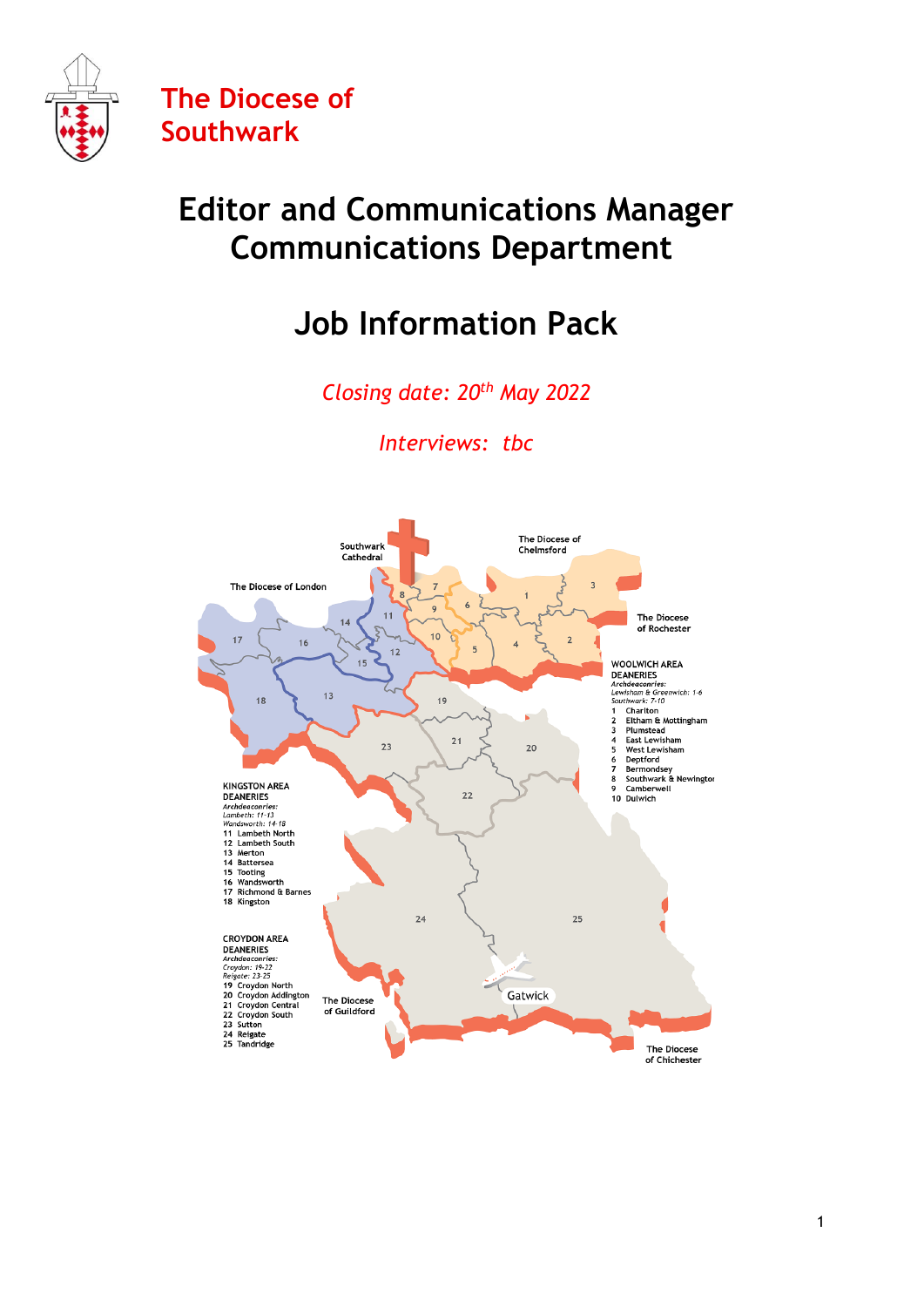

# **Editor and Communications Manager Communications Department**

# **Job Information Pack**

*Closing date: 20th May 2022*

*Interviews: tbc* 

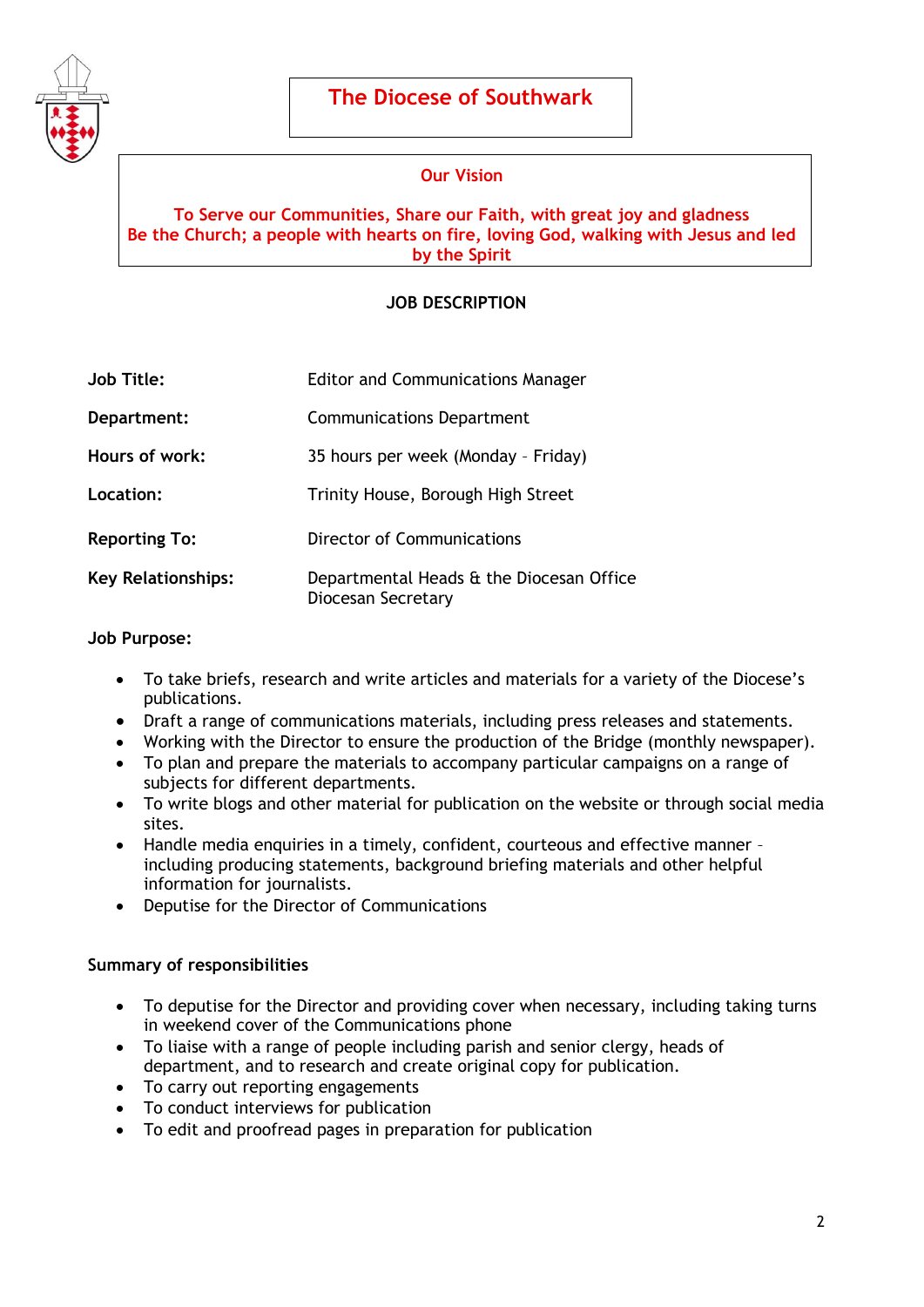

## **Our Vision**

### **To Serve our Communities, Share our Faith, with great joy and gladness Be the Church; a people with hearts on fire, loving God, walking with Jesus and led by the Spirit**

## **JOB DESCRIPTION**

| <b>Job Title:</b>         | <b>Editor and Communications Manager</b>                       |
|---------------------------|----------------------------------------------------------------|
| Department:               | <b>Communications Department</b>                               |
| Hours of work:            | 35 hours per week (Monday - Friday)                            |
| Location:                 | Trinity House, Borough High Street                             |
| <b>Reporting To:</b>      | Director of Communications                                     |
| <b>Key Relationships:</b> | Departmental Heads & the Diocesan Office<br>Diocesan Secretary |

#### **Job Purpose:**

- To take briefs, research and write articles and materials for a variety of the Diocese's publications.
- Draft a range of communications materials, including press releases and statements.
- Working with the Director to ensure the production of the Bridge (monthly newspaper).
- To plan and prepare the materials to accompany particular campaigns on a range of subjects for different departments.
- To write blogs and other material for publication on the website or through social media sites.
- Handle media enquiries in a timely, confident, courteous and effective manner including producing statements, background briefing materials and other helpful information for journalists.
- Deputise for the Director of Communications

#### **Summary of responsibilities**

- To deputise for the Director and providing cover when necessary, including taking turns in weekend cover of the Communications phone
- To liaise with a range of people including parish and senior clergy, heads of department, and to research and create original copy for publication.
- To carry out reporting engagements
- To conduct interviews for publication
- To edit and proofread pages in preparation for publication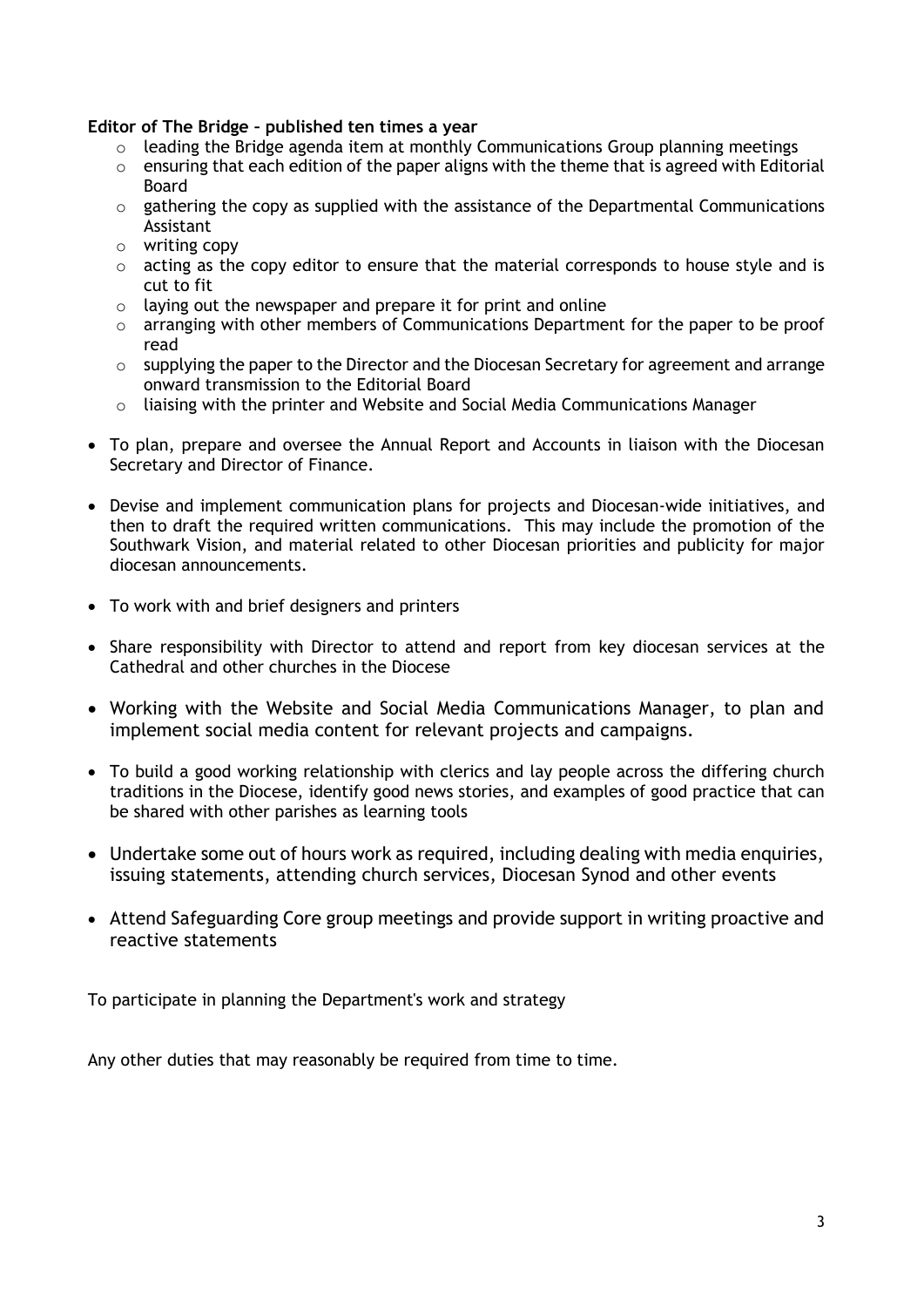#### **Editor of The Bridge – published ten times a year**

- $\circ$  leading the Bridge agenda item at monthly Communications Group planning meetings
- $\circ$  ensuring that each edition of the paper aligns with the theme that is agreed with Editorial Board
- o gathering the copy as supplied with the assistance of the Departmental Communications Assistant
- o writing copy
- $\circ$  acting as the copy editor to ensure that the material corresponds to house style and is cut to fit
- $\circ$  laving out the newspaper and prepare it for print and online
- o arranging with other members of Communications Department for the paper to be proof read
- o supplying the paper to the Director and the Diocesan Secretary for agreement and arrange onward transmission to the Editorial Board
- $\circ$  liaising with the printer and Website and Social Media Communications Manager
- To plan, prepare and oversee the Annual Report and Accounts in liaison with the Diocesan Secretary and Director of Finance.
- Devise and implement communication plans for projects and Diocesan-wide initiatives, and then to draft the required written communications. This may include the promotion of the Southwark Vision, and material related to other Diocesan priorities and publicity for major diocesan announcements.
- To work with and brief designers and printers
- Share responsibility with Director to attend and report from key diocesan services at the Cathedral and other churches in the Diocese
- Working with the Website and Social Media Communications Manager, to plan and implement social media content for relevant projects and campaigns.
- To build a good working relationship with clerics and lay people across the differing church traditions in the Diocese, identify good news stories, and examples of good practice that can be shared with other parishes as learning tools
- Undertake some out of hours work as required, including dealing with media enquiries, issuing statements, attending church services, Diocesan Synod and other events
- Attend Safeguarding Core group meetings and provide support in writing proactive and reactive statements

To participate in planning the Department's work and strategy

Any other duties that may reasonably be required from time to time.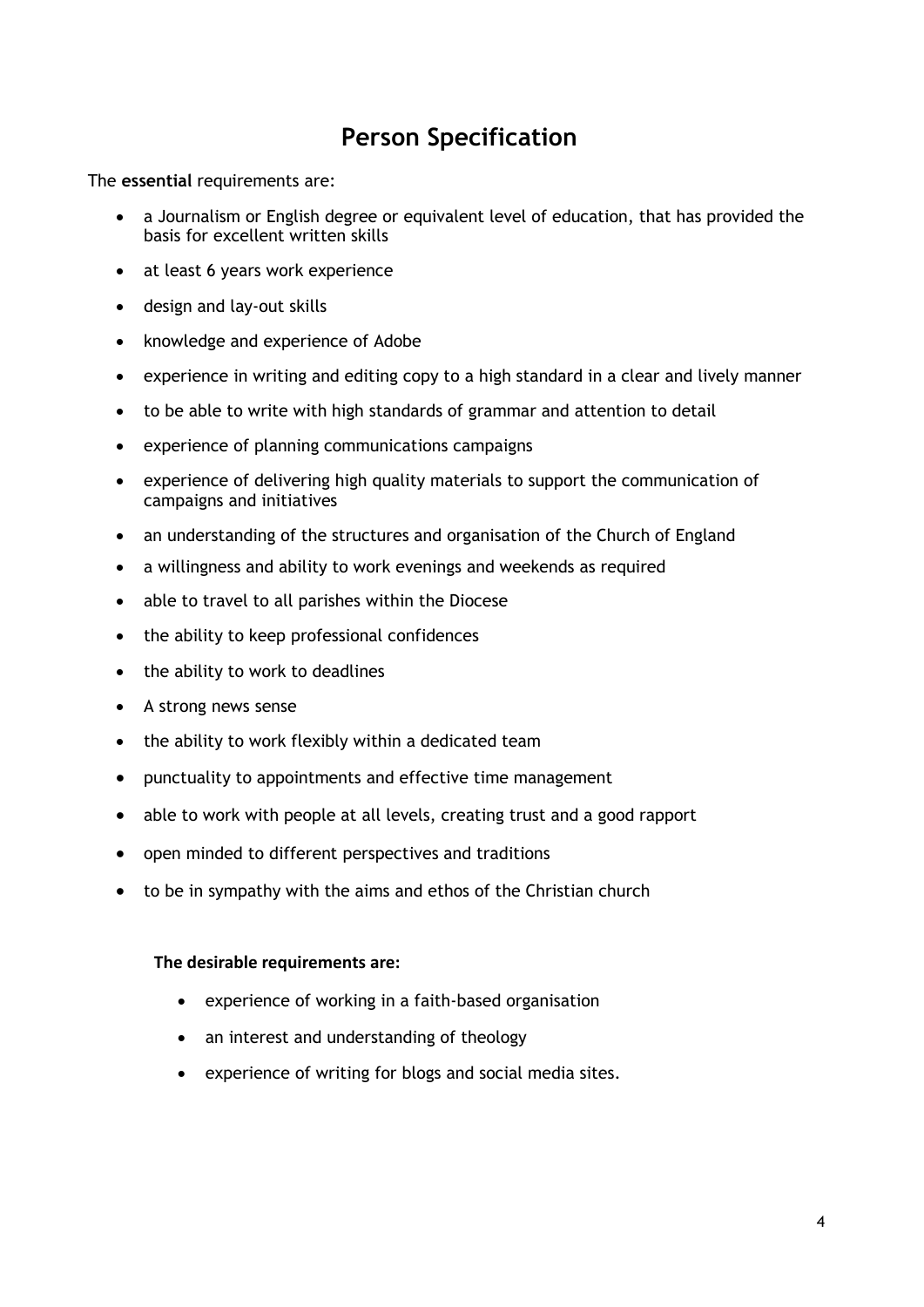# **Person Specification**

The **essential** requirements are:

- a Journalism or English degree or equivalent level of education, that has provided the basis for excellent written skills
- at least 6 years work experience
- design and lay-out skills
- knowledge and experience of Adobe
- experience in writing and editing copy to a high standard in a clear and lively manner
- to be able to write with high standards of grammar and attention to detail
- experience of planning communications campaigns
- experience of delivering high quality materials to support the communication of campaigns and initiatives
- an understanding of the structures and organisation of the Church of England
- a willingness and ability to work evenings and weekends as required
- able to travel to all parishes within the Diocese
- the ability to keep professional confidences
- the ability to work to deadlines
- A strong news sense
- the ability to work flexibly within a dedicated team
- punctuality to appointments and effective time management
- able to work with people at all levels, creating trust and a good rapport
- open minded to different perspectives and traditions
- to be in sympathy with the aims and ethos of the Christian church

#### **The desirable requirements are:**

- experience of working in a faith-based organisation
- an interest and understanding of theology
- experience of writing for blogs and social media sites.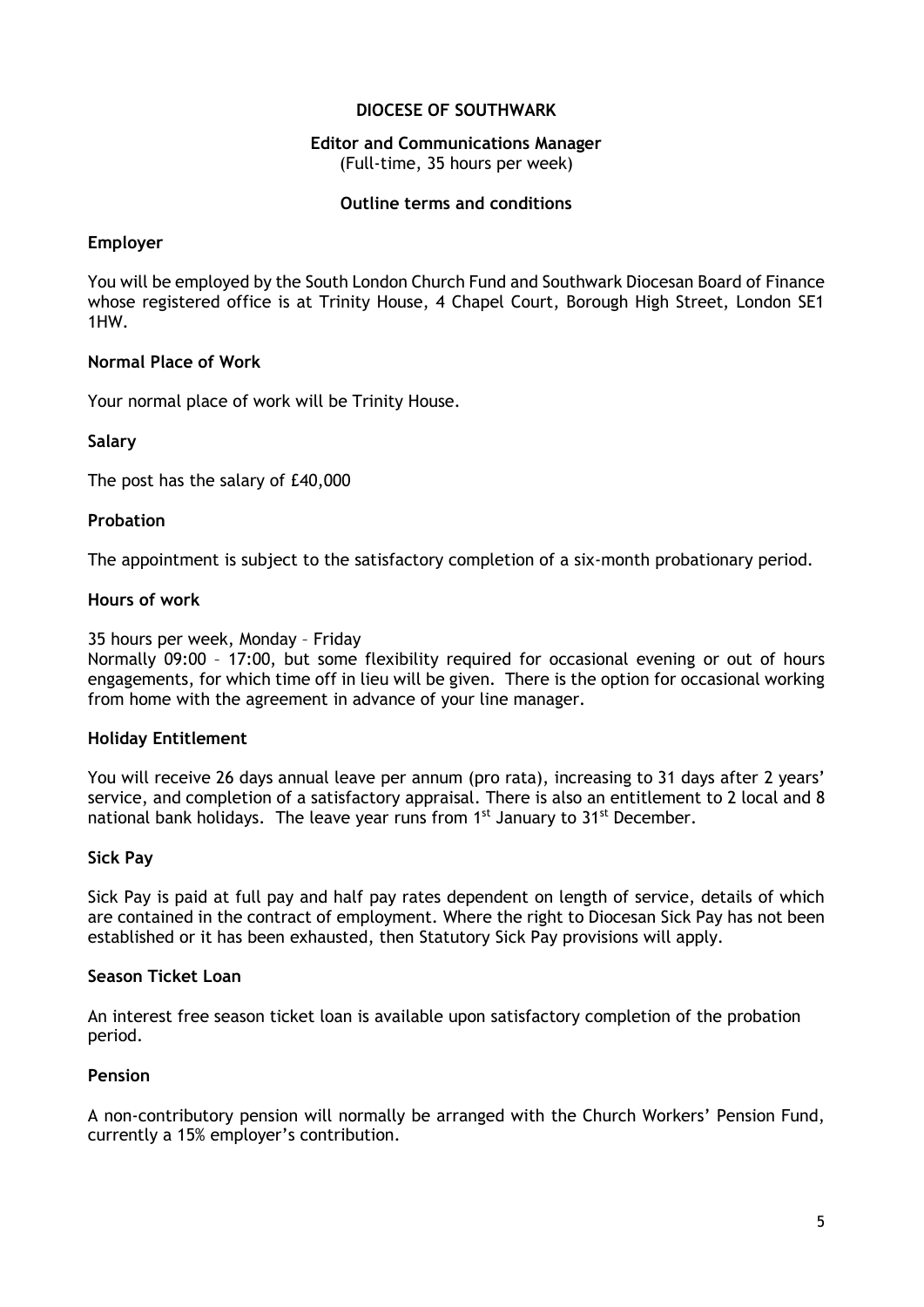#### **DIOCESE OF SOUTHWARK**

#### **Editor and Communications Manager**  (Full-time, 35 hours per week)

#### **Outline terms and conditions**

#### **Employer**

You will be employed by the South London Church Fund and Southwark Diocesan Board of Finance whose registered office is at Trinity House, 4 Chapel Court, Borough High Street, London SE1 1HW.

#### **Normal Place of Work**

Your normal place of work will be Trinity House.

#### **Salary**

The post has the salary of £40,000

#### **Probation**

The appointment is subject to the satisfactory completion of a six-month probationary period.

#### **Hours of work**

35 hours per week, Monday – Friday

Normally 09:00 – 17:00, but some flexibility required for occasional evening or out of hours engagements, for which time off in lieu will be given. There is the option for occasional working from home with the agreement in advance of your line manager.

#### **Holiday Entitlement**

You will receive 26 days annual leave per annum (pro rata), increasing to 31 days after 2 years' service, and completion of a satisfactory appraisal. There is also an entitlement to 2 local and 8 national bank holidays. The leave year runs from 1<sup>st</sup> January to 31<sup>st</sup> December.

#### **Sick Pay**

Sick Pay is paid at full pay and half pay rates dependent on length of service, details of which are contained in the contract of employment. Where the right to Diocesan Sick Pay has not been established or it has been exhausted, then Statutory Sick Pay provisions will apply.

#### **Season Ticket Loan**

An interest free season ticket loan is available upon satisfactory completion of the probation period.

#### **Pension**

A non-contributory pension will normally be arranged with the Church Workers' Pension Fund, currently a 15% employer's contribution.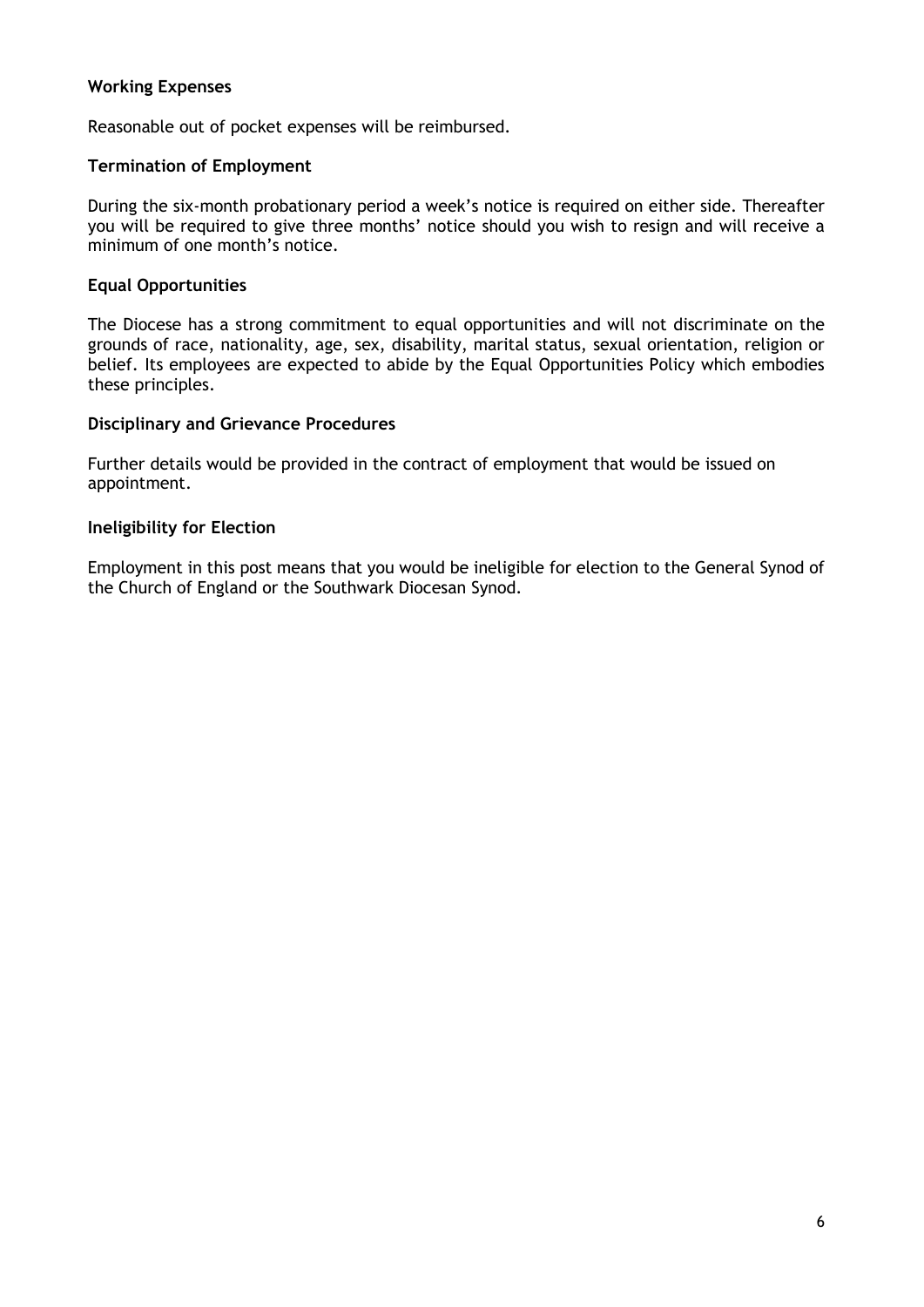### **Working Expenses**

Reasonable out of pocket expenses will be reimbursed.

#### **Termination of Employment**

During the six-month probationary period a week's notice is required on either side. Thereafter you will be required to give three months' notice should you wish to resign and will receive a minimum of one month's notice.

#### **Equal Opportunities**

The Diocese has a strong commitment to equal opportunities and will not discriminate on the grounds of race, nationality, age, sex, disability, marital status, sexual orientation, religion or belief. Its employees are expected to abide by the Equal Opportunities Policy which embodies these principles.

#### **Disciplinary and Grievance Procedures**

Further details would be provided in the contract of employment that would be issued on appointment.

#### **Ineligibility for Election**

Employment in this post means that you would be ineligible for election to the General Synod of the Church of England or the Southwark Diocesan Synod.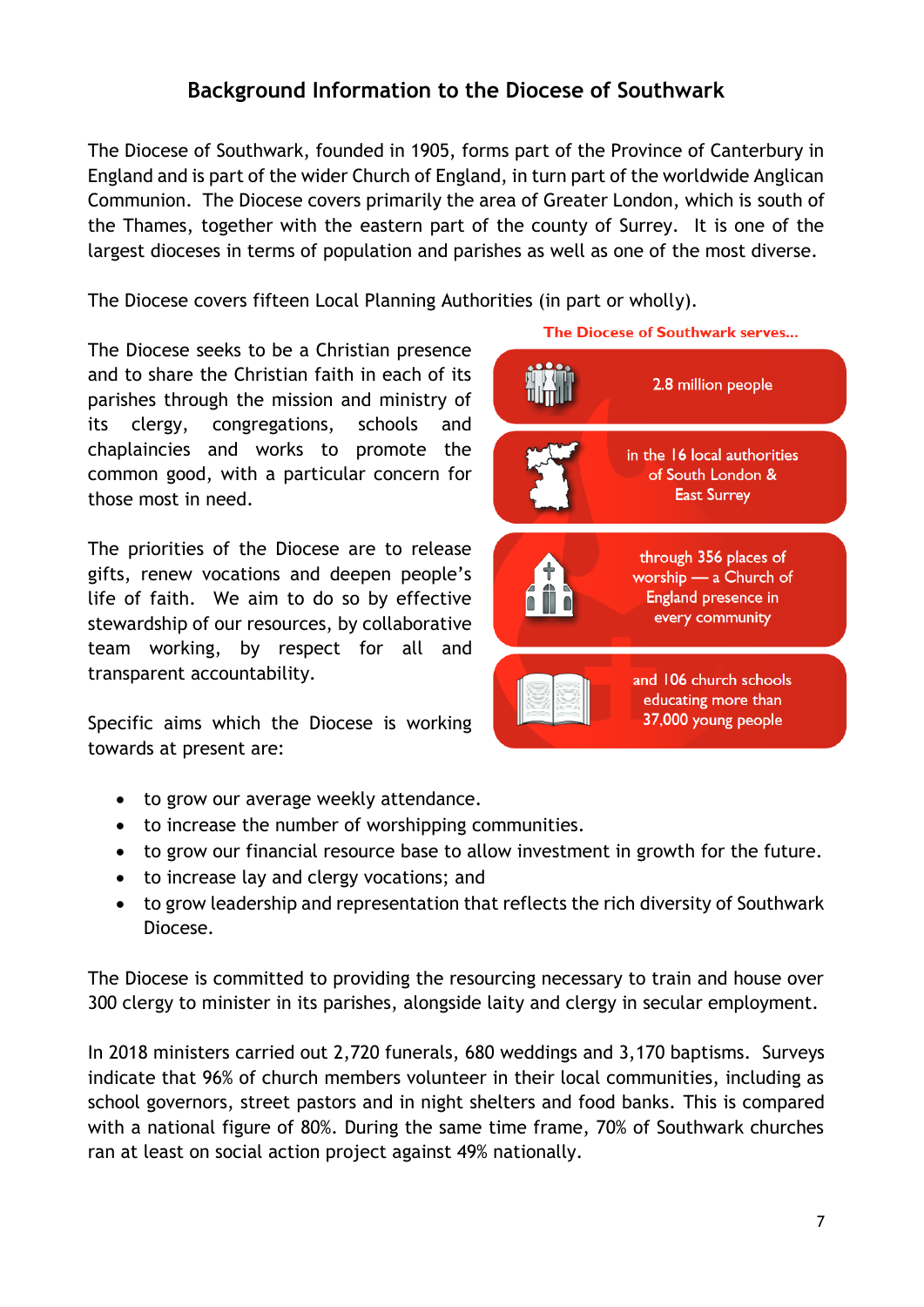## **Background Information to the Diocese of Southwark**

The Diocese of Southwark, founded in 1905, forms part of the Province of Canterbury in England and is part of the wider Church of England, in turn part of the worldwide Anglican Communion. The Diocese covers primarily the area of Greater London, which is south of the Thames, together with the eastern part of the county of Surrey. It is one of the largest dioceses in terms of population and parishes as well as one of the most diverse.

The Diocese covers fifteen Local Planning Authorities (in part or wholly).

The Diocese seeks to be a Christian presence and to share the Christian faith in each of its parishes through the mission and ministry of its clergy, congregations, schools and chaplaincies and works to promote the common good, with a particular concern for those most in need.

The priorities of the Diocese are to release gifts, renew vocations and deepen people's life of faith. We aim to do so by effective stewardship of our resources, by collaborative team working, by respect for all and transparent accountability.

Specific aims which the Diocese is working towards at present are:

- to grow our average weekly attendance.
- to increase the number of worshipping communities.
- to grow our financial resource base to allow investment in growth for the future.
- to increase lay and clergy vocations; and
- to grow leadership and representation that reflects the rich diversity of Southwark Diocese.

The Diocese is committed to providing the resourcing necessary to train and house over 300 clergy to minister in its parishes, alongside laity and clergy in secular employment.

In 2018 ministers carried out 2,720 funerals, 680 weddings and 3,170 baptisms. Surveys indicate that 96% of church members volunteer in their local communities, including as school governors, street pastors and in night shelters and food banks. This is compared with a national figure of 80%. During the same time frame, 70% of Southwark churches ran at least on social action project against 49% nationally.

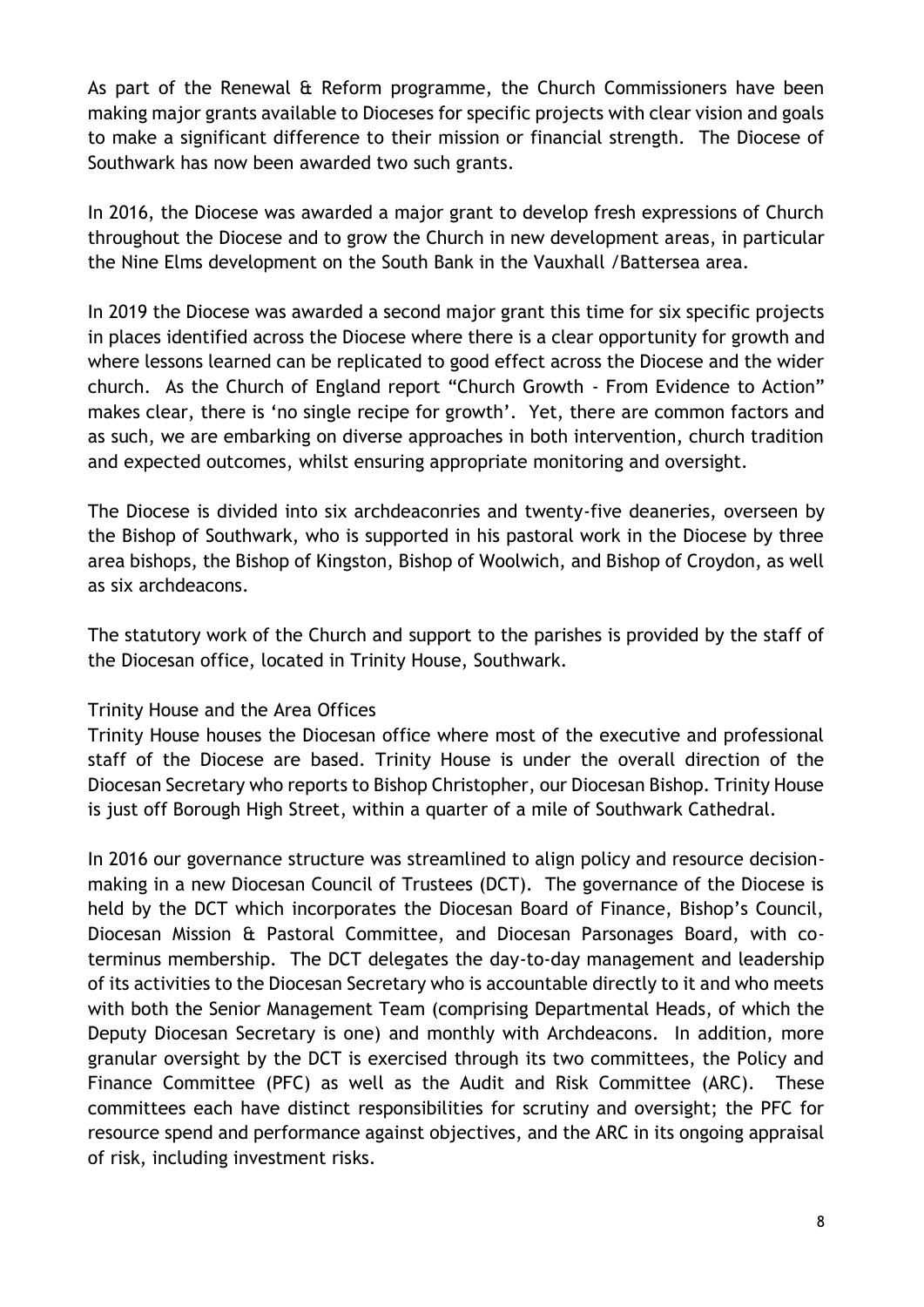As part of the Renewal & Reform programme, the Church Commissioners have been making major grants available to Dioceses for specific projects with clear vision and goals to make a significant difference to their mission or financial strength. The Diocese of Southwark has now been awarded two such grants.

In 2016, the Diocese was awarded a major grant to develop fresh expressions of Church throughout the Diocese and to grow the Church in new development areas, in particular the Nine Elms development on the South Bank in the Vauxhall /Battersea area.

In 2019 the Diocese was awarded a second major grant this time for six specific projects in places identified across the Diocese where there is a clear opportunity for growth and where lessons learned can be replicated to good effect across the Diocese and the wider church. As the Church of England report "Church Growth - From Evidence to Action" makes clear, there is 'no single recipe for growth'. Yet, there are common factors and as such, we are embarking on diverse approaches in both intervention, church tradition and expected outcomes, whilst ensuring appropriate monitoring and oversight.

The Diocese is divided into six archdeaconries and twenty-five deaneries, overseen by the Bishop of Southwark, who is supported in his pastoral work in the Diocese by three area bishops, the Bishop of Kingston, Bishop of Woolwich, and Bishop of Croydon, as well as six archdeacons.

The statutory work of the Church and support to the parishes is provided by the staff of the Diocesan office, located in Trinity House, Southwark.

## Trinity House and the Area Offices

Trinity House houses the Diocesan office where most of the executive and professional staff of the Diocese are based. Trinity House is under the overall direction of the Diocesan Secretary who reports to Bishop Christopher, our Diocesan Bishop. Trinity House is just off Borough High Street, within a quarter of a mile of Southwark Cathedral.

In 2016 our governance structure was streamlined to align policy and resource decisionmaking in a new Diocesan Council of Trustees (DCT). The governance of the Diocese is held by the DCT which incorporates the Diocesan Board of Finance, Bishop's Council, Diocesan Mission & Pastoral Committee, and Diocesan Parsonages Board, with coterminus membership. The DCT delegates the day-to-day management and leadership of its activities to the Diocesan Secretary who is accountable directly to it and who meets with both the Senior Management Team (comprising Departmental Heads, of which the Deputy Diocesan Secretary is one) and monthly with Archdeacons. In addition, more granular oversight by the DCT is exercised through its two committees, the Policy and Finance Committee (PFC) as well as the Audit and Risk Committee (ARC). These committees each have distinct responsibilities for scrutiny and oversight; the PFC for resource spend and performance against objectives, and the ARC in its ongoing appraisal of risk, including investment risks.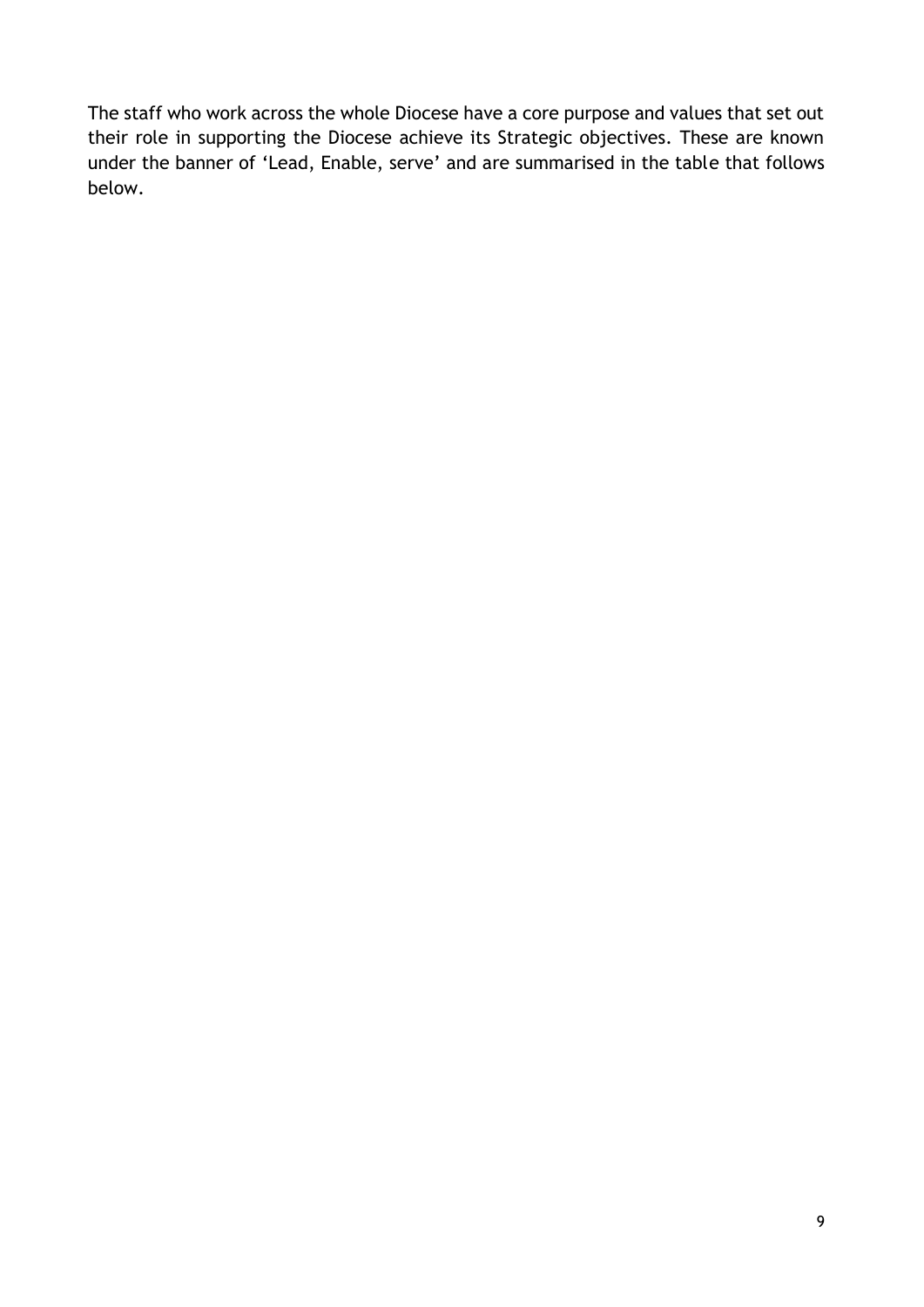The staff who work across the whole Diocese have a core purpose and values that set out their role in supporting the Diocese achieve its Strategic objectives. These are known under the banner of 'Lead, Enable, serve' and are summarised in the table that follows below.